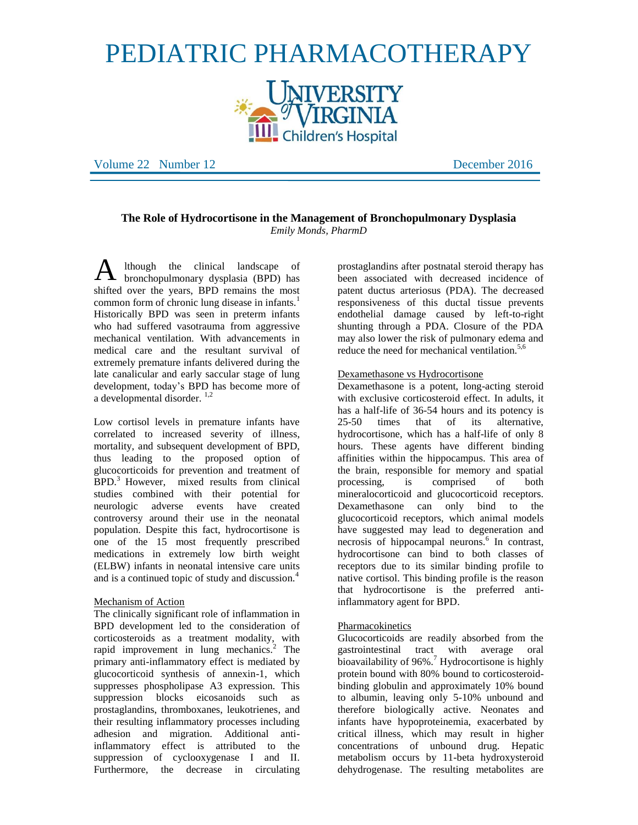# PEDIATRIC PHARMACOTHERAPY



Volume 22 Number 12 December 2016

# **The Role of Hydrocortisone in the Management of Bronchopulmonary Dysplasia** *Emily Monds, PharmD*

lthough the clinical landscape of  $\mathbf A$  lthough the clinical landscape of bronchopulmonary dysplasia (BPD) has shifted over the years, BPD remains the most common form of chronic lung disease in infants.<sup>1</sup> Historically BPD was seen in preterm infants who had suffered vasotrauma from aggressive mechanical ventilation. With advancements in medical care and the resultant survival of extremely premature infants delivered during the late canalicular and early saccular stage of lung development, today's BPD has become more of a developmental disorder.<sup>1,2</sup>

Low cortisol levels in premature infants have correlated to increased severity of illness, mortality, and subsequent development of BPD, thus leading to the proposed option of glucocorticoids for prevention and treatment of  $BPD<sup>3</sup>$  However, mixed results from clinical studies combined with their potential for neurologic adverse events have created controversy around their use in the neonatal population. Despite this fact, hydrocortisone is one of the 15 most frequently prescribed medications in extremely low birth weight (ELBW) infants in neonatal intensive care units and is a continued topic of study and discussion.<sup>4</sup>

## Mechanism of Action

The clinically significant role of inflammation in BPD development led to the consideration of corticosteroids as a treatment modality, with rapid improvement in lung mechanics.<sup>2</sup> The primary anti-inflammatory effect is mediated by glucocorticoid synthesis of annexin-1, which suppresses phospholipase A3 expression. This suppression blocks eicosanoids such as prostaglandins, thromboxanes, leukotrienes, and their resulting inflammatory processes including adhesion and migration. Additional antiinflammatory effect is attributed to the suppression of cyclooxygenase I and II. Furthermore, the decrease in circulating

prostaglandins after postnatal steroid therapy has been associated with decreased incidence of patent ductus arteriosus (PDA). The decreased responsiveness of this ductal tissue prevents endothelial damage caused by left-to-right shunting through a PDA. Closure of the PDA may also lower the risk of pulmonary edema and reduce the need for mechanical ventilation. $5,6$ 

## Dexamethasone vs Hydrocortisone

Dexamethasone is a potent, long-acting steroid with exclusive corticosteroid effect. In adults, it has a half-life of 36-54 hours and its potency is 25-50 times that of its alternative, hydrocortisone, which has a half-life of only 8 hours. These agents have different binding affinities within the hippocampus. This area of the brain, responsible for memory and spatial processing, is comprised of both mineralocorticoid and glucocorticoid receptors. Dexamethasone can only bind to the glucocorticoid receptors, which animal models have suggested may lead to degeneration and necrosis of hippocampal neurons.<sup>6</sup> In contrast, hydrocortisone can bind to both classes of receptors due to its similar binding profile to native cortisol. This binding profile is the reason that hydrocortisone is the preferred antiinflammatory agent for BPD.

## Pharmacokinetics

Glucocorticoids are readily absorbed from the gastrointestinal tract with average oral bioavailability of  $96\%$ .<sup>7</sup> Hydrocortisone is highly protein bound with 80% bound to corticosteroidbinding globulin and approximately 10% bound to albumin, leaving only 5-10% unbound and therefore biologically active. Neonates and infants have hypoproteinemia, exacerbated by critical illness, which may result in higher concentrations of unbound drug. Hepatic metabolism occurs by 11-beta hydroxysteroid dehydrogenase. The resulting metabolites are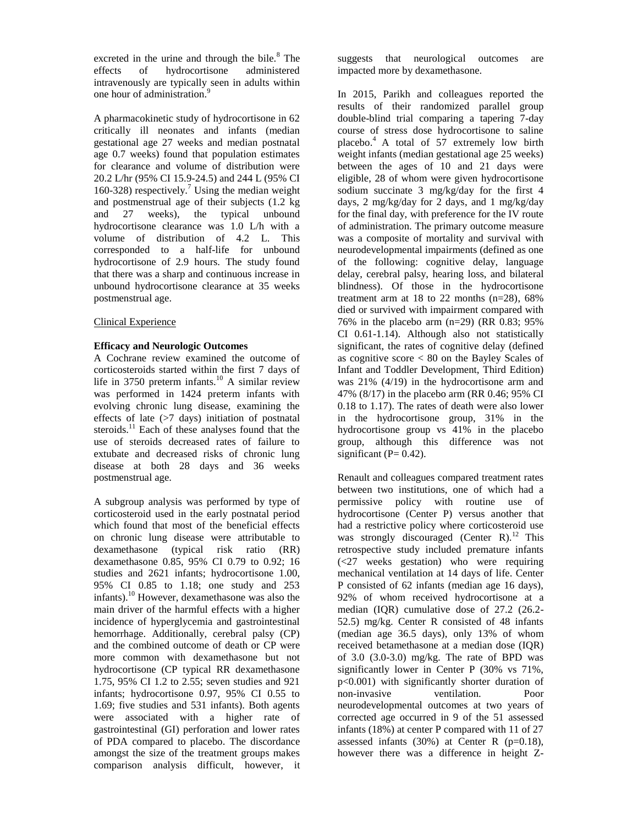excreted in the urine and through the bile.<sup>8</sup> The effects of hydrocortisone administered intravenously are typically seen in adults within one hour of administration. 9

A pharmacokinetic study of hydrocortisone in 62 critically ill neonates and infants (median gestational age 27 weeks and median postnatal age 0.7 weeks) found that population estimates for clearance and volume of distribution were 20.2 L/hr (95% CI 15.9-24.5) and 244 L (95% CI 160-328) respectively.<sup>7</sup> Using the median weight and postmenstrual age of their subjects (1.2 kg and 27 weeks), the typical unbound hydrocortisone clearance was 1.0 L/h with a volume of distribution of 4.2 L. This corresponded to a half-life for unbound hydrocortisone of 2.9 hours. The study found that there was a sharp and continuous increase in unbound hydrocortisone clearance at 35 weeks postmenstrual age.

## Clinical Experience

## **Efficacy and Neurologic Outcomes**

A Cochrane review examined the outcome of corticosteroids started within the first 7 days of life in 3750 preterm infants.<sup>10</sup> A similar review was performed in 1424 preterm infants with evolving chronic lung disease, examining the effects of late  $(>=7 \text{ days})$  initiation of postnatal steroids.<sup>11</sup> Each of these analyses found that the use of steroids decreased rates of failure to extubate and decreased risks of chronic lung disease at both 28 days and 36 weeks postmenstrual age.

A subgroup analysis was performed by type of corticosteroid used in the early postnatal period which found that most of the beneficial effects on chronic lung disease were attributable to dexamethasone (typical risk ratio (RR) dexamethasone 0.85, 95% CI 0.79 to 0.92; 16 studies and 2621 infants; hydrocortisone 1.00, 95% CI 0.85 to 1.18; one study and 253 infants).<sup>10</sup> However, dexamethasone was also the main driver of the harmful effects with a higher incidence of hyperglycemia and gastrointestinal hemorrhage. Additionally, cerebral palsy (CP) and the combined outcome of death or CP were more common with dexamethasone but not hydrocortisone (CP typical RR dexamethasone 1.75, 95% CI 1.2 to 2.55; seven studies and 921 infants; hydrocortisone 0.97, 95% CI 0.55 to 1.69; five studies and 531 infants). Both agents were associated with a higher rate of gastrointestinal (GI) perforation and lower rates of PDA compared to placebo. The discordance amongst the size of the treatment groups makes comparison analysis difficult, however, it suggests that neurological outcomes are impacted more by dexamethasone.

In 2015, Parikh and colleagues reported the results of their randomized parallel group double-blind trial comparing a tapering 7-day course of stress dose hydrocortisone to saline placebo.<sup>4</sup> A total of 57 extremely low birth weight infants (median gestational age 25 weeks) between the ages of 10 and 21 days were eligible, 28 of whom were given hydrocortisone sodium succinate 3 mg/kg/day for the first 4 days, 2 mg/kg/day for 2 days, and 1 mg/kg/day for the final day, with preference for the IV route of administration. The primary outcome measure was a composite of mortality and survival with neurodevelopmental impairments (defined as one of the following: cognitive delay, language delay, cerebral palsy, hearing loss, and bilateral blindness). Of those in the hydrocortisone treatment arm at  $18$  to  $22$  months (n=28),  $68\%$ died or survived with impairment compared with 76% in the placebo arm (n=29) (RR 0.83; 95% CI 0.61-1.14). Although also not statistically significant, the rates of cognitive delay (defined as cognitive score  $< 80$  on the Bayley Scales of Infant and Toddler Development, Third Edition) was 21% (4/19) in the hydrocortisone arm and 47% (8/17) in the placebo arm (RR 0.46; 95% CI 0.18 to 1.17). The rates of death were also lower in the hydrocortisone group, 31% in the hydrocortisone group vs 41% in the placebo group, although this difference was not significant ( $P = 0.42$ ).

Renault and colleagues compared treatment rates between two institutions, one of which had a permissive policy with routine use of hydrocortisone (Center P) versus another that had a restrictive policy where corticosteroid use was strongly discouraged (Center R).<sup>12</sup> This retrospective study included premature infants (<27 weeks gestation) who were requiring mechanical ventilation at 14 days of life. Center P consisted of 62 infants (median age 16 days), 92% of whom received hydrocortisone at a median (IQR) cumulative dose of 27.2 (26.2- 52.5) mg/kg. Center R consisted of 48 infants (median age 36.5 days), only 13% of whom received betamethasone at a median dose (IQR) of  $3.0$   $(3.0-3.0)$  mg/kg. The rate of BPD was significantly lower in Center P (30% vs 71%, p<0.001) with significantly shorter duration of non-invasive ventilation. Poor neurodevelopmental outcomes at two years of corrected age occurred in 9 of the 51 assessed infants (18%) at center P compared with 11 of 27 assessed infants  $(30\%)$  at Center R  $(p=0.18)$ , however there was a difference in height Z-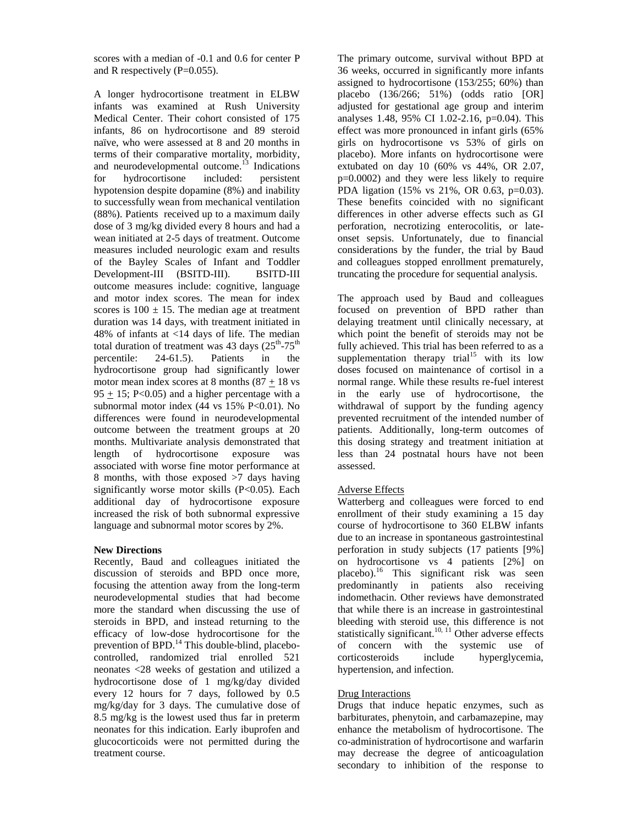scores with a median of -0.1 and 0.6 for center P and R respectively (P=0.055).

A longer hydrocortisone treatment in ELBW infants was examined at Rush University Medical Center. Their cohort consisted of 175 infants, 86 on hydrocortisone and 89 steroid naïve, who were assessed at 8 and 20 months in terms of their comparative mortality, morbidity, and neurodevelopmental outcome.<sup>13</sup> Indications for hydrocortisone included: persistent hypotension despite dopamine (8%) and inability to successfully wean from mechanical ventilation (88%). Patients received up to a maximum daily dose of 3 mg/kg divided every 8 hours and had a wean initiated at 2-5 days of treatment. Outcome measures included neurologic exam and results of the Bayley Scales of Infant and Toddler Development-III (BSITD-III). BSITD-III outcome measures include: cognitive, language and motor index scores. The mean for index scores is  $100 \pm 15$ . The median age at treatment duration was 14 days, with treatment initiated in 48% of infants at <14 days of life. The median total duration of treatment was 43 days  $(25<sup>th</sup>-75<sup>th</sup>)$ percentile: 24-61.5). Patients in the hydrocortisone group had significantly lower motor mean index scores at 8 months  $(87 + 18 \text{ vs }$  $95 + 15$ ; P<0.05) and a higher percentage with a subnormal motor index (44 vs 15% P<0.01). No differences were found in neurodevelopmental outcome between the treatment groups at 20 months. Multivariate analysis demonstrated that length of hydrocortisone exposure was associated with worse fine motor performance at 8 months, with those exposed >7 days having significantly worse motor skills (P<0.05). Each additional day of hydrocortisone exposure increased the risk of both subnormal expressive language and subnormal motor scores by 2%.

# **New Directions**

Recently, Baud and colleagues initiated the discussion of steroids and BPD once more, focusing the attention away from the long-term neurodevelopmental studies that had become more the standard when discussing the use of steroids in BPD, and instead returning to the efficacy of low-dose hydrocortisone for the prevention of BPD.<sup>14</sup> This double-blind, placebocontrolled, randomized trial enrolled 521 neonates <28 weeks of gestation and utilized a hydrocortisone dose of 1 mg/kg/day divided every 12 hours for 7 days, followed by 0.5 mg/kg/day for 3 days. The cumulative dose of 8.5 mg/kg is the lowest used thus far in preterm neonates for this indication. Early ibuprofen and glucocorticoids were not permitted during the treatment course.

The primary outcome, survival without BPD at 36 weeks, occurred in significantly more infants assigned to hydrocortisone (153/255; 60%) than placebo (136/266; 51%) (odds ratio [OR] adjusted for gestational age group and interim analyses 1.48, 95% CI 1.02-2.16, p=0.04). This effect was more pronounced in infant girls (65% girls on hydrocortisone vs 53% of girls on placebo). More infants on hydrocortisone were extubated on day 10 (60% vs 44%, OR 2.07, p=0.0002) and they were less likely to require PDA ligation (15% vs 21%, OR 0.63, p=0.03). These benefits coincided with no significant differences in other adverse effects such as GI perforation, necrotizing enterocolitis, or lateonset sepsis. Unfortunately, due to financial considerations by the funder, the trial by Baud and colleagues stopped enrollment prematurely, truncating the procedure for sequential analysis.

The approach used by Baud and colleagues focused on prevention of BPD rather than delaying treatment until clinically necessary, at which point the benefit of steroids may not be fully achieved. This trial has been referred to as a supplementation therapy trial<sup>15</sup> with its low doses focused on maintenance of cortisol in a normal range. While these results re-fuel interest in the early use of hydrocortisone, the withdrawal of support by the funding agency prevented recruitment of the intended number of patients. Additionally, long-term outcomes of this dosing strategy and treatment initiation at less than 24 postnatal hours have not been assessed.

# Adverse Effects

Watterberg and colleagues were forced to end enrollment of their study examining a 15 day course of hydrocortisone to 360 ELBW infants due to an increase in spontaneous gastrointestinal perforation in study subjects (17 patients [9%] on hydrocortisone vs 4 patients [2%] on placebo). <sup>16</sup> This significant risk was seen predominantly in patients also receiving indomethacin. Other reviews have demonstrated that while there is an increase in gastrointestinal bleeding with steroid use, this difference is not statistically significant.<sup>10, 11</sup> Other adverse effects of concern with the systemic use of corticosteroids include hyperglycemia, hypertension, and infection.

# Drug Interactions

Drugs that induce hepatic enzymes, such as barbiturates, phenytoin, and carbamazepine, may enhance the metabolism of hydrocortisone. The co-administration of hydrocortisone and warfarin may decrease the degree of anticoagulation secondary to inhibition of the response to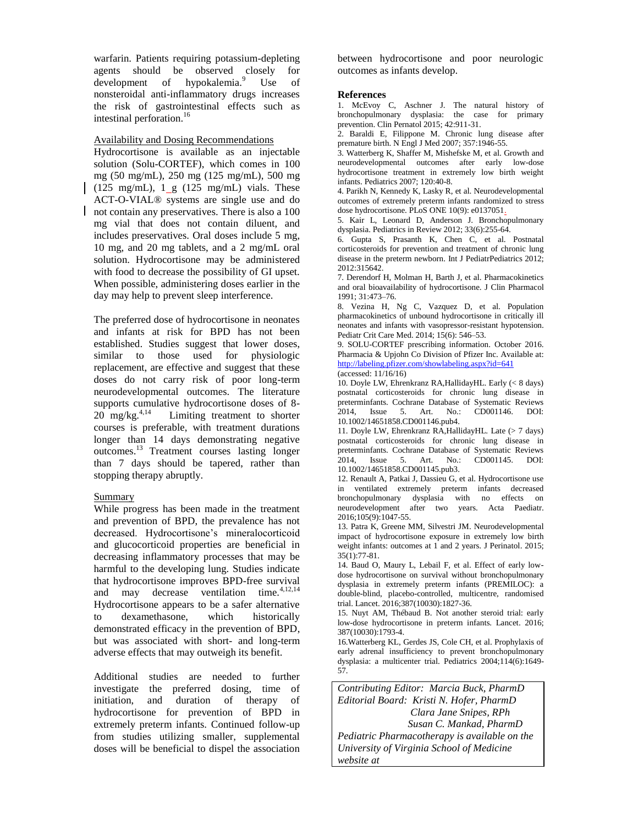warfarin. Patients requiring potassium-depleting agents should be observed closely for development of hypokalemia.<sup>9</sup> Use of nonsteroidal anti-inflammatory drugs increases the risk of gastrointestinal effects such as intestinal perforation.<sup>16</sup>

Availability and Dosing Recommendations

Hydrocortisone is available as an injectable solution (Solu-CORTEF), which comes in 100 mg (50 mg/mL), 250 mg (125 mg/mL), 500 mg (125 mg/mL),  $1 \text{ g}$  (125 mg/mL) vials. These ACT-O-VIAL® systems are single use and do not contain any preservatives. There is also a 100 mg vial that does not contain diluent, and includes preservatives. Oral doses include 5 mg, 10 mg, and 20 mg tablets, and a 2 mg/mL oral solution. Hydrocortisone may be administered with food to decrease the possibility of GI upset. When possible, administering doses earlier in the day may help to prevent sleep interference.

The preferred dose of hydrocortisone in neonates and infants at risk for BPD has not been established. Studies suggest that lower doses, similar to those used for physiologic replacement, are effective and suggest that these doses do not carry risk of poor long-term neurodevelopmental outcomes. The literature supports cumulative hydrocortisone doses of 8- 20 mg/kg. $4,14$  Limiting treatment to shorter courses is preferable, with treatment durations longer than 14 days demonstrating negative outcomes.<sup>13</sup> Treatment courses lasting longer than 7 days should be tapered, rather than stopping therapy abruptly.

## Summary

While progress has been made in the treatment and prevention of BPD, the prevalence has not decreased. Hydrocortisone's mineralocorticoid and glucocorticoid properties are beneficial in decreasing inflammatory processes that may be harmful to the developing lung. Studies indicate that hydrocortisone improves BPD-free survival and may decrease ventilation time. $4,12,14$ Hydrocortisone appears to be a safer alternative to dexamethasone, which historically demonstrated efficacy in the prevention of BPD, but was associated with short- and long-term adverse effects that may outweigh its benefit.

Additional studies are needed to further investigate the preferred dosing, time of initiation, and duration of therapy of hydrocortisone for prevention of BPD in extremely preterm infants. Continued follow-up from studies utilizing smaller, supplemental doses will be beneficial to dispel the association

between hydrocortisone and poor neurologic outcomes as infants develop.

#### **References**

1. McEvoy C, Aschner J. The natural history of bronchopulmonary dysplasia: the case for primary prevention. Clin Pernatol 2015; 42:911-31.

2. Baraldi E, Filippone M. Chronic lung disease after premature birth. N Engl J Med 2007; 357:1946-55.

3. Watterberg K, Shaffer M, Mishefske M, et al. Growth and neurodevelopmental outcomes after early low-dose hydrocortisone treatment in extremely low birth weight infants. Pediatrics 2007; 120:40-8.

4. Parikh N, Kennedy K, Lasky R, et al. Neurodevelopmental outcomes of extremely preterm infants randomized to stress dose hydrocortisone. PLoS ONE 10(9): e0137051.

5. Kair L, Leonard D, Anderson J. Bronchopulmonary dysplasia. Pediatrics in Review 2012; 33(6):255-64.

6. Gupta S, Prasanth K, Chen C, et al. Postnatal corticosteroids for prevention and treatment of chronic lung disease in the preterm newborn. Int J PediatrPediatrics 2012; 2012:315642.

7. Derendorf H, Molman H, Barth J, et al. Pharmacokinetics and oral bioavailability of hydrocortisone. J Clin Pharmacol 1991; 31:473–76.

8. Vezina H, Ng C, Vazquez D, et al. Population pharmacokinetics of unbound hydrocortisone in critically ill neonates and infants with vasopressor-resistant hypotension. Pediatr Crit Care Med. 2014; 15(6): 546–53.

9. SOLU-CORTEF prescribing information. October 2016. Pharmacia & Upjohn Co Division of Pfizer Inc. Available at: <http://labeling.pfizer.com/showlabeling.aspx?id=641> (accessed: 11/16/16)

10. Doyle LW, Ehrenkranz RA,HallidayHL. Early (< 8 days) postnatal corticosteroids for chronic lung disease in preterminfants. Cochrane Database of Systematic Reviews 2014, Issue 5. Art. No.: CD001146. DOI: 10.1002/14651858.CD001146.pub4.

11. Doyle LW, Ehrenkranz RA,HallidayHL. Late (> 7 days) postnatal corticosteroids for chronic lung disease in preterminfants. Cochrane Database of Systematic Reviews 2014, Issue 5. Art. No.: CD001145. DOI: 10.1002/14651858.CD001145.pub3.

12. Renault A, Patkai J, Dassieu G, et al. Hydrocortisone use in ventilated extremely preterm infants decreased bronchopulmonary dysplasia with no effects on neurodevelopment after two years. Acta Paediatr. 2016;105(9):1047-55.

13. Patra K, Greene MM, Silvestri JM. Neurodevelopmental impact of hydrocortisone exposure in extremely low birth weight infants: outcomes at 1 and 2 years. J Perinatol. 2015; 35(1):77-81.

14. Baud O, Maury L, Lebail F, et al. Effect of early lowdose hydrocortisone on survival without bronchopulmonary dysplasia in extremely preterm infants (PREMILOC): a double-blind, placebo-controlled, multicentre, randomised trial. Lancet. 2016;387(10030):1827-36.

15. Nuyt AM, Thébaud B. Not another steroid trial: early low-dose hydrocortisone in preterm infants. Lancet. 2016; 387(10030):1793-4.

16.Watterberg KL, Gerdes JS, Cole CH, et al. Prophylaxis of early adrenal insufficiency to prevent bronchopulmonary dysplasia: a multicenter trial. Pediatrics 2004;114(6):1649- 57.

*Contributing Editor: Marcia Buck, PharmD Editorial Board: Kristi N. Hofer, PharmD Clara Jane Snipes, RPh Susan C. Mankad, PharmD Pediatric Pharmacotherapy is available on the University of Virginia School of Medicine website at*